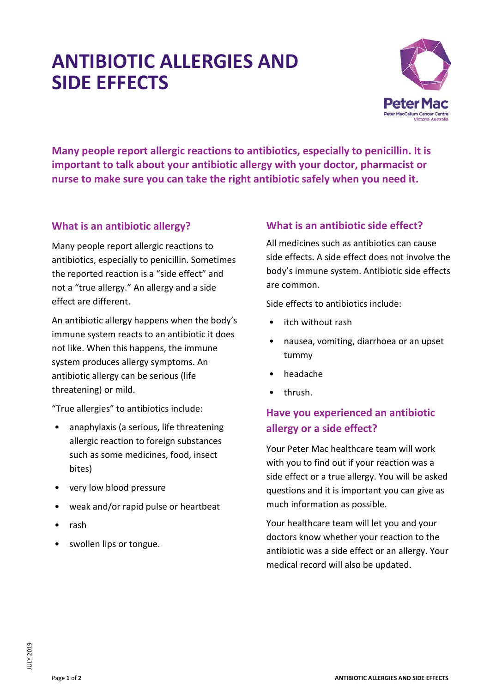# **ANTIBIOTIC ALLERGIES AND SIDE EFFECTS**



**Many people report allergic reactions to antibiotics, especially to penicillin. It is important to talk about your antibiotic allergy with your doctor, pharmacist or nurse to make sure you can take the right antibiotic safely when you need it.**

#### **What is an antibiotic allergy?**

Many people report allergic reactions to antibiotics, especially to penicillin. Sometimes the reported reaction is a "side effect" and not a "true allergy." An allergy and a side effect are different.

An antibiotic allergy happens when the body's immune system reacts to an antibiotic it does not like. When this happens, the immune system produces allergy symptoms. An antibiotic allergy can be serious (life threatening) or mild.

"True allergies" to antibiotics include:

- anaphylaxis (a serious, life threatening allergic reaction to foreign substances such as some medicines, food, insect bites)
- very low blood pressure
- weak and/or rapid pulse or heartbeat
- rash
- swollen lips or tongue.

#### **What is an antibiotic side effect?**

All medicines such as antibiotics can cause side effects. A side effect does not involve the body's immune system. Antibiotic side effects are common.

Side effects to antibiotics include:

- itch without rash
- nausea, vomiting, diarrhoea or an upset tummy
- headache
- thrush.

## **Have you experienced an antibiotic allergy or a side effect?**

Your Peter Mac healthcare team will work with you to find out if your reaction was a side effect or a true allergy. You will be asked questions and it is important you can give as much information as possible.

Your healthcare team will let you and your doctors know whether your reaction to the antibiotic was a side effect or an allergy. Your medical record will also be updated.